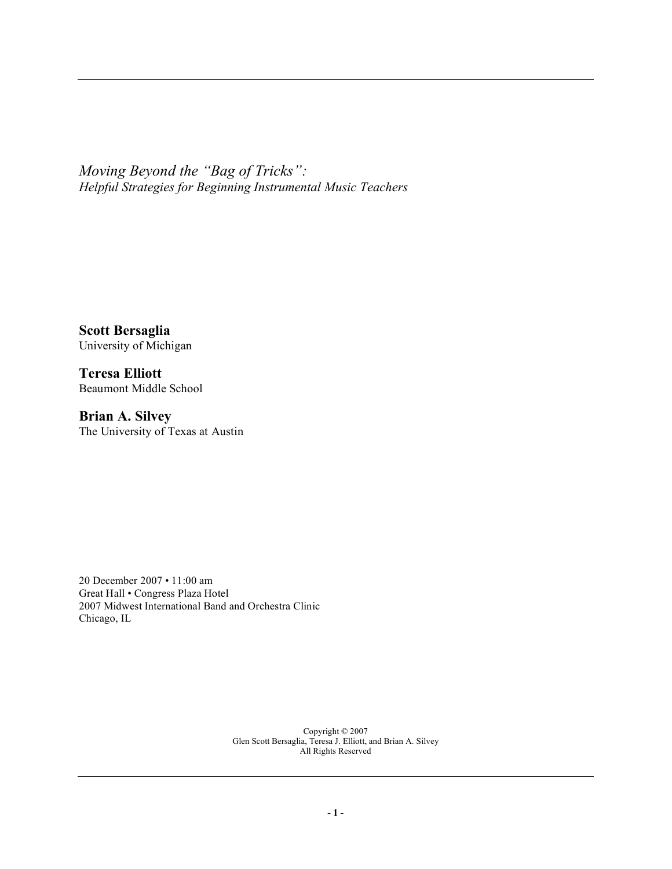*Moving Beyond the "Bag of Tricks": Helpful Strategies for Beginning Instrumental Music Teachers*

**Scott Bersaglia** University of Michigan

**Teresa Elliott** Beaumont Middle School

**Brian A. Silvey** The University of Texas at Austin

20 December 2007 • 11:00 am Great Hall • Congress Plaza Hotel 2007 Midwest International Band and Orchestra Clinic Chicago, IL

> Copyright © 2007 Glen Scott Bersaglia, Teresa J. Elliott, and Brian A. Silvey All Rights Reserved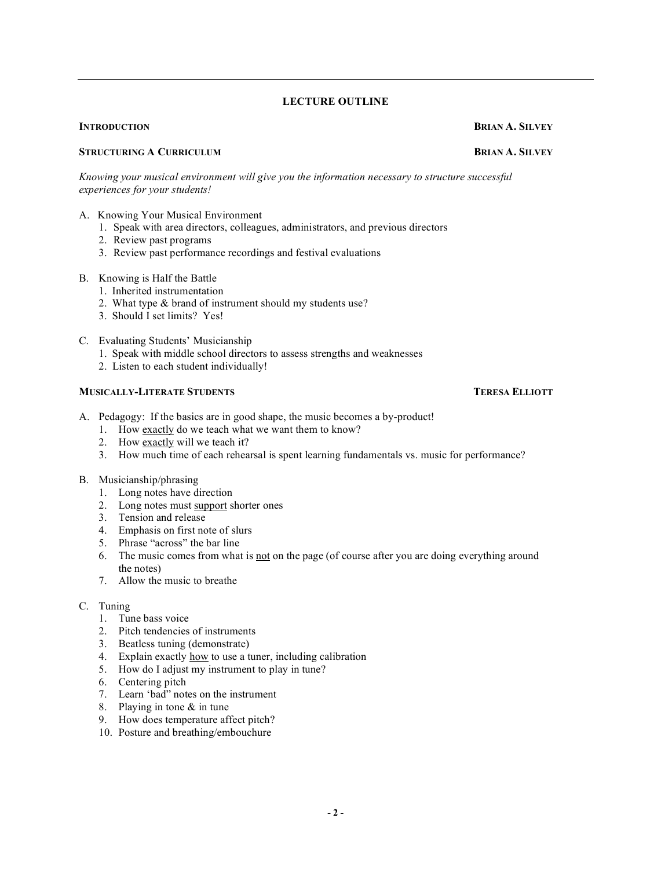#### **LECTURE OUTLINE**

## **STRUCTURING A CURRICULUM BRIAN A. SILVEY**

*Knowing your musical environment will give you the information necessary to structure successful experiences for your students!*

- A. Knowing Your Musical Environment
	- 1. Speak with area directors, colleagues, administrators, and previous directors
	- 2. Review past programs
	- 3. Review past performance recordings and festival evaluations

#### B. Knowing is Half the Battle

- 1. Inherited instrumentation
- 2. What type & brand of instrument should my students use?
- 3. Should I set limits? Yes!
- C. Evaluating Students' Musicianship
	- 1. Speak with middle school directors to assess strengths and weaknesses
	- 2. Listen to each student individually!

#### **MUSICALLY-LITERATE STUDENTS TERESA ELLIOTT**

- A. Pedagogy: If the basics are in good shape, the music becomes a by-product!
	- 1. How exactly do we teach what we want them to know?
	- 2. How exactly will we teach it?
	- 3. How much time of each rehearsal is spent learning fundamentals vs. music for performance?

#### B. Musicianship/phrasing

- 1. Long notes have direction
- 2. Long notes must support shorter ones
- 3. Tension and release
- 4. Emphasis on first note of slurs
- 5. Phrase "across" the bar line
- 6. The music comes from what is not on the page (of course after you are doing everything around the notes)
- 7. Allow the music to breathe

#### C. Tuning

- 1. Tune bass voice
- 2. Pitch tendencies of instruments
- 3. Beatless tuning (demonstrate)
- 4. Explain exactly how to use a tuner, including calibration
- 5. How do I adjust my instrument to play in tune?
- 6. Centering pitch
- 7. Learn 'bad" notes on the instrument
- 8. Playing in tone & in tune
- 9. How does temperature affect pitch?
- 10. Posture and breathing/embouchure

**INTRODUCTION BRIAN A. SILVEY**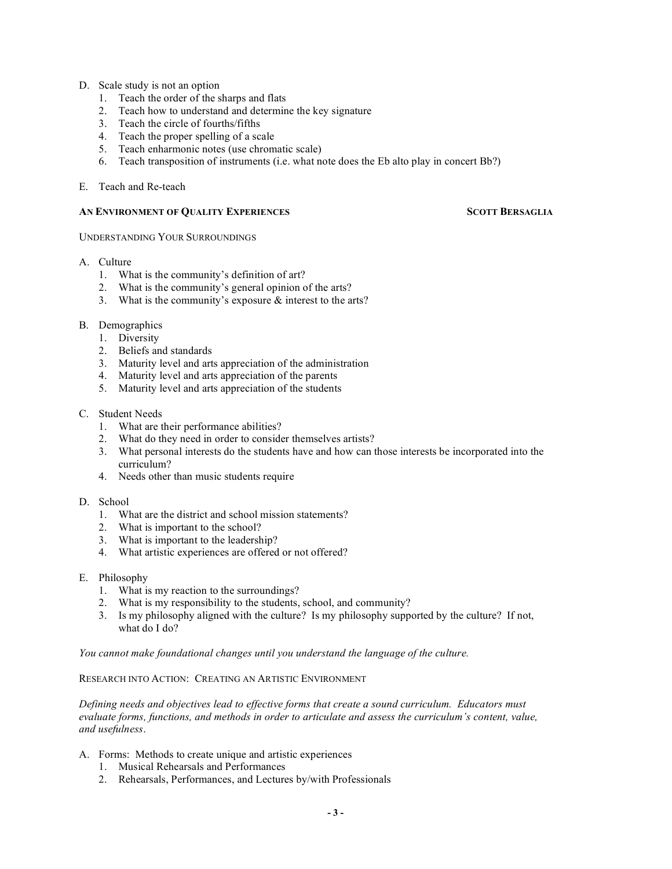- D. Scale study is not an option
	- 1. Teach the order of the sharps and flats
	- 2. Teach how to understand and determine the key signature
	- 3. Teach the circle of fourths/fifths
	- 4. Teach the proper spelling of a scale
	- 5. Teach enharmonic notes (use chromatic scale)
	- 6. Teach transposition of instruments (i.e. what note does the Eb alto play in concert Bb?)

#### E. Teach and Re-teach

#### **AN ENVIRONMENT OF QUALITY EXPERIENCES SCOTT BERSAGLIA**

#### UNDERSTANDING YOUR SURROUNDINGS

- A. Culture
	- 1. What is the community's definition of art?
	- 2. What is the community's general opinion of the arts?
	- 3. What is the community's exposure & interest to the arts?
- B. Demographics
	- 1. Diversity
	- 2. Beliefs and standards
	- 3. Maturity level and arts appreciation of the administration
	- 4. Maturity level and arts appreciation of the parents
	- 5. Maturity level and arts appreciation of the students

#### C. Student Needs

- 1. What are their performance abilities?
- 2. What do they need in order to consider themselves artists?
- 3. What personal interests do the students have and how can those interests be incorporated into the curriculum?
- 4. Needs other than music students require
- D. School
	- 1. What are the district and school mission statements?
	- 2. What is important to the school?
	- 3. What is important to the leadership?
	- 4. What artistic experiences are offered or not offered?
- E. Philosophy
	- 1. What is my reaction to the surroundings?
	- 2. What is my responsibility to the students, school, and community?
	- 3. Is my philosophy aligned with the culture? Is my philosophy supported by the culture? If not, what do I do?

*You cannot make foundational changes until you understand the language of the culture.*

#### RESEARCH INTO ACTION: CREATING AN ARTISTIC ENVIRONMENT

*Defining needs and objectives lead to effective forms that create a sound curriculum. Educators must evaluate forms, functions, and methods in order to articulate and assess the curriculum's content, value, and usefulness*.

- A. Forms: Methods to create unique and artistic experiences
	- 1. Musical Rehearsals and Performances
	- 2. Rehearsals, Performances, and Lectures by/with Professionals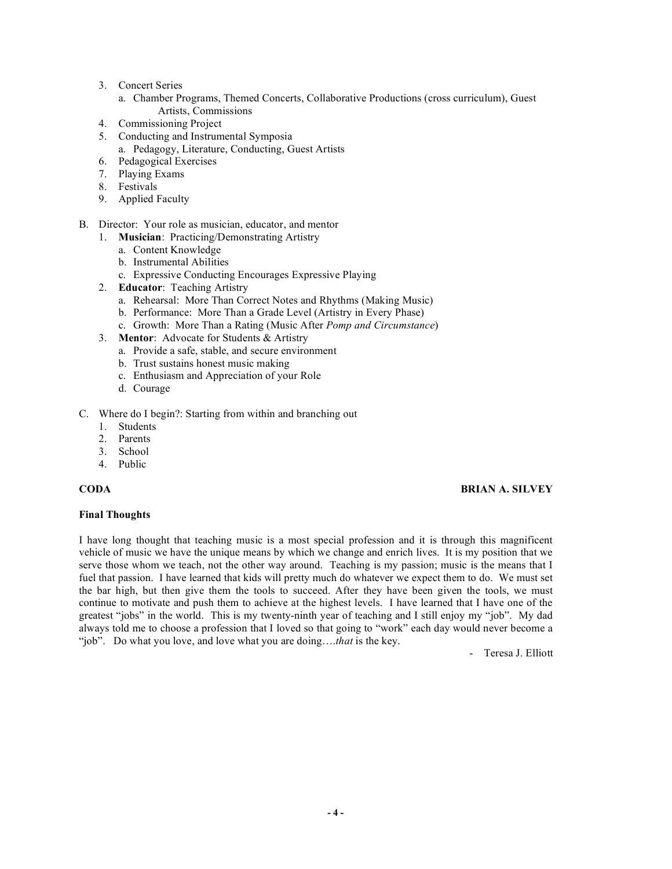- 3. Concert Series
	- a. Chamber Programs, Themed Concerts, Collaborative Productions (cross curriculum), Guest Artists, Commissions
- 4. Commissioning Project
- 5. Conducting and Instrumental Symposia
	- a. Pedagogy, Literature, Conducting, Guest Artists
- 6. Pedagogical Exercises
- 7. Playing Exams
- 8. Festivals
- 9. Applied Faculty
- B. Director: Your role as musician, educator, and mentor
	- 1. **Musician**: Practicing/Demonstrating Artistry
		- a. Content Knowledge
		- b. Instrumental Abilities
		- c. Expressive Conducting Encourages Expressive Playing
	- 2. **Educator**: Teaching Artistry
		- a. Rehearsal: More Than Correct Notes and Rhythms (Making Music)
		- b. Performance: More Than a Grade Level (Artistry in Every Phase)
		- c. Growth: More Than a Rating (Music After *Pomp and Circumstance*)
	- 3. **Mentor**: Advocate for Students & Artistry
		- a. Provide a safe, stable, and secure environment
		- b. Trust sustains honest music making
		- c. Enthusiasm and Appreciation of your Role
		- d. Courage
- C. Where do I begin?: Starting from within and branching out
	- 1. Students
	- 2. Parents
	- 3. School
	- 4. Public

#### **Final Thoughts**

## **CODA BRIAN A. SILVEY**

I have long thought that teaching music is a most special profession and it is through this magnificent vehicle of music we have the unique means by which we change and enrich lives. It is my position that we serve those whom we teach, not the other way around. Teaching is my passion; music is the means that I fuel that passion. I have learned that kids will pretty much do whatever we expect them to do. We must set the bar high, but then give them the tools to succeed. After they have been given the tools, we must continue to motivate and push them to achieve at the highest levels. I have learned that I have one of the greatest "jobs" in the world. This is my twenty-ninth year of teaching and I still enjoy my "job". My dad always told me to choose a profession that I loved so that going to "work" each day would never become a "job". Do what you love, and love what you are doing….*that* is the key.

- Teresa J. Elliott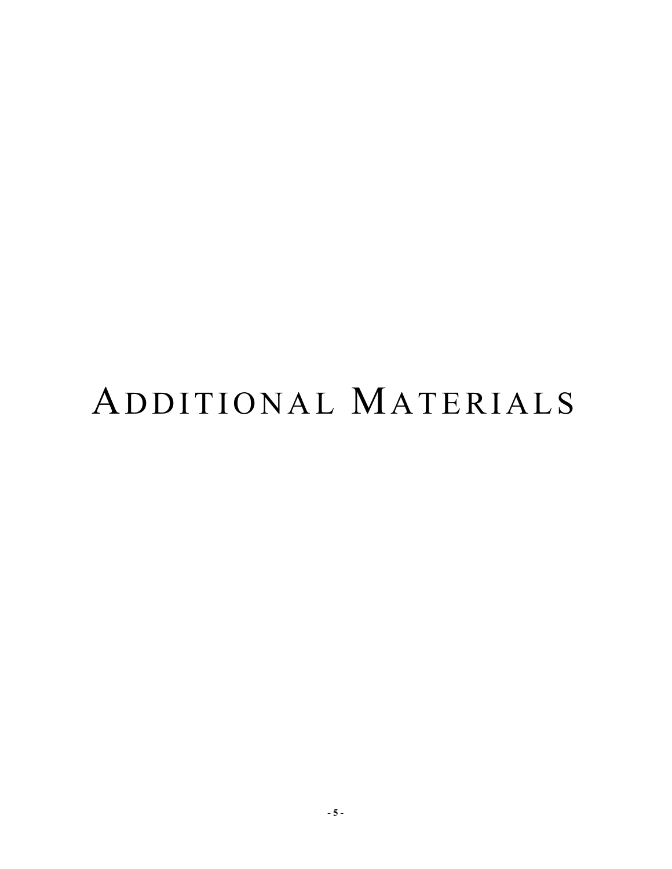# ADDITIONAL MATERIALS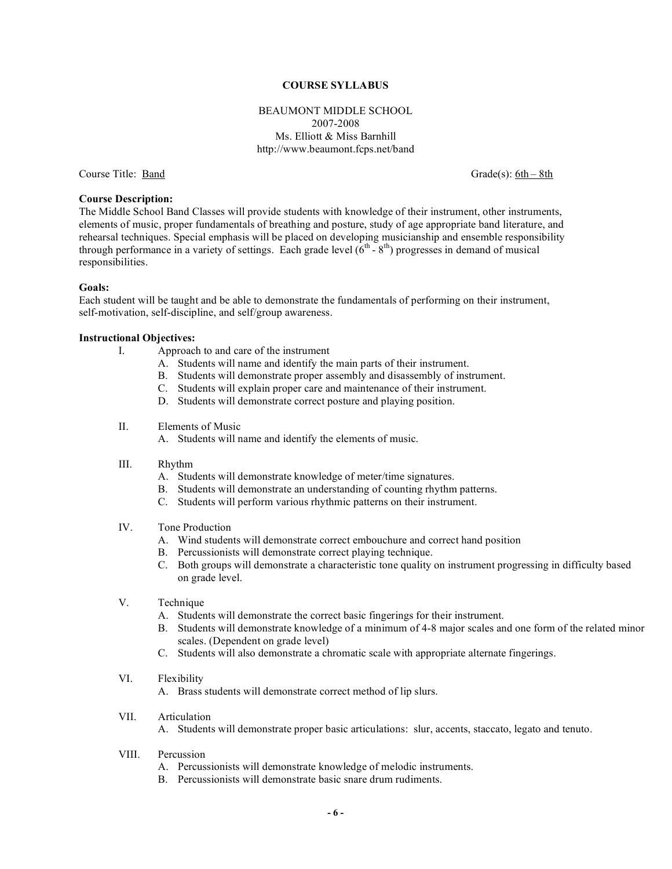#### **COURSE SYLLABUS**

#### BEAUMONT MIDDLE SCHOOL 2007-2008 Ms. Elliott & Miss Barnhill http://www.beaumont.fcps.net/band

Course Title: <u>Band</u> Grade(s): 6th – 8th

#### **Course Description:**

The Middle School Band Classes will provide students with knowledge of their instrument, other instruments, elements of music, proper fundamentals of breathing and posture, study of age appropriate band literature, and rehearsal techniques. Special emphasis will be placed on developing musicianship and ensemble responsibility through performance in a variety of settings. Each grade level  $(6^{th} - 8^{th})$  progresses in demand of musical responsibilities.

#### **Goals:**

Each student will be taught and be able to demonstrate the fundamentals of performing on their instrument, self-motivation, self-discipline, and self/group awareness.

#### **Instructional Objectives:**

- I. Approach to and care of the instrument
	- A. Students will name and identify the main parts of their instrument.
	- B. Students will demonstrate proper assembly and disassembly of instrument.
	- C. Students will explain proper care and maintenance of their instrument.
	- D. Students will demonstrate correct posture and playing position.
- II. Elements of Music
	- A. Students will name and identify the elements of music.
- III. Rhythm
	- A. Students will demonstrate knowledge of meter/time signatures.
	- B. Students will demonstrate an understanding of counting rhythm patterns.
	- C. Students will perform various rhythmic patterns on their instrument.

#### IV. Tone Production

- A. Wind students will demonstrate correct embouchure and correct hand position
- B. Percussionists will demonstrate correct playing technique.
- C. Both groups will demonstrate a characteristic tone quality on instrument progressing in difficulty based on grade level.
- V. Technique
	- A. Students will demonstrate the correct basic fingerings for their instrument.
	- B. Students will demonstrate knowledge of a minimum of 4-8 major scales and one form of the related minor scales. (Dependent on grade level)
	- C. Students will also demonstrate a chromatic scale with appropriate alternate fingerings.
- VI. Flexibility

A. Brass students will demonstrate correct method of lip slurs.

VII. Articulation

A. Students will demonstrate proper basic articulations: slur, accents, staccato, legato and tenuto.

- VIII. Percussion
	- A. Percussionists will demonstrate knowledge of melodic instruments.
	- B. Percussionists will demonstrate basic snare drum rudiments.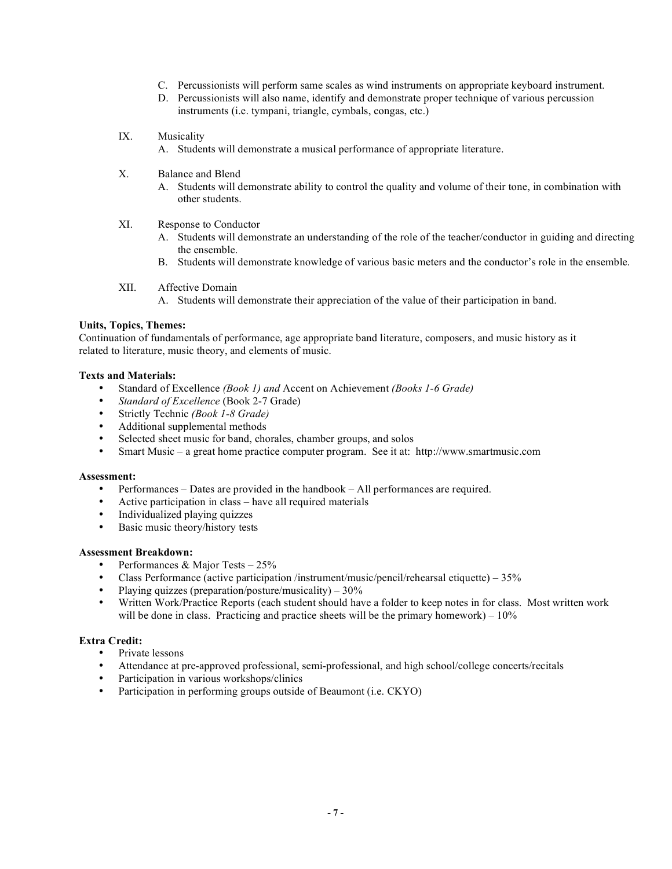- C. Percussionists will perform same scales as wind instruments on appropriate keyboard instrument.
- D. Percussionists will also name, identify and demonstrate proper technique of various percussion instruments (i.e. tympani, triangle, cymbals, congas, etc.)
- IX. Musicality
	- A. Students will demonstrate a musical performance of appropriate literature.
- X. Balance and Blend
	- A. Students will demonstrate ability to control the quality and volume of their tone, in combination with other students.
- XI. Response to Conductor
	- A. Students will demonstrate an understanding of the role of the teacher/conductor in guiding and directing the ensemble.
	- B. Students will demonstrate knowledge of various basic meters and the conductor's role in the ensemble.
- XII. Affective Domain A. Students will demonstrate their appreciation of the value of their participation in band.

#### **Units, Topics, Themes:**

Continuation of fundamentals of performance, age appropriate band literature, composers, and music history as it related to literature, music theory, and elements of music.

#### **Texts and Materials:**

- Standard of Excellence *(Book 1) and* Accent on Achievement *(Books 1-6 Grade)*
- *Standard of Excellence* (Book 2-7 Grade)<br>• Strictly Technic (Book 1-8 Grade)
- Strictly Technic *(Book 1-8 Grade)*
- Additional supplemental methods
- Selected sheet music for band, chorales, chamber groups, and solos
- Smart Music a great home practice computer program. See it at: http://www.smartmusic.com

#### **Assessment:**

- Performances Dates are provided in the handbook All performances are required.
- Active participation in class have all required materials
- Individualized playing quizzes
- Basic music theory/history tests

#### **Assessment Breakdown:**

- Performances & Major Tests 25%
- Class Performance (active participation /instrument/music/pencil/rehearsal etiquette) 35%<br>• Playing quizzes (preparation/posture/musicality) 30%
- Playing quizzes (preparation/posture/musicality)  $30\%$
- Written Work/Practice Reports (each student should have a folder to keep notes in for class. Most written work will be done in class. Practicing and practice sheets will be the primary homework) –  $10\%$

#### **Extra Credit:**

- Private lessons
- Attendance at pre-approved professional, semi-professional, and high school/college concerts/recitals
- Participation in various workshops/clinics
- Participation in performing groups outside of Beaumont (i.e. CKYO)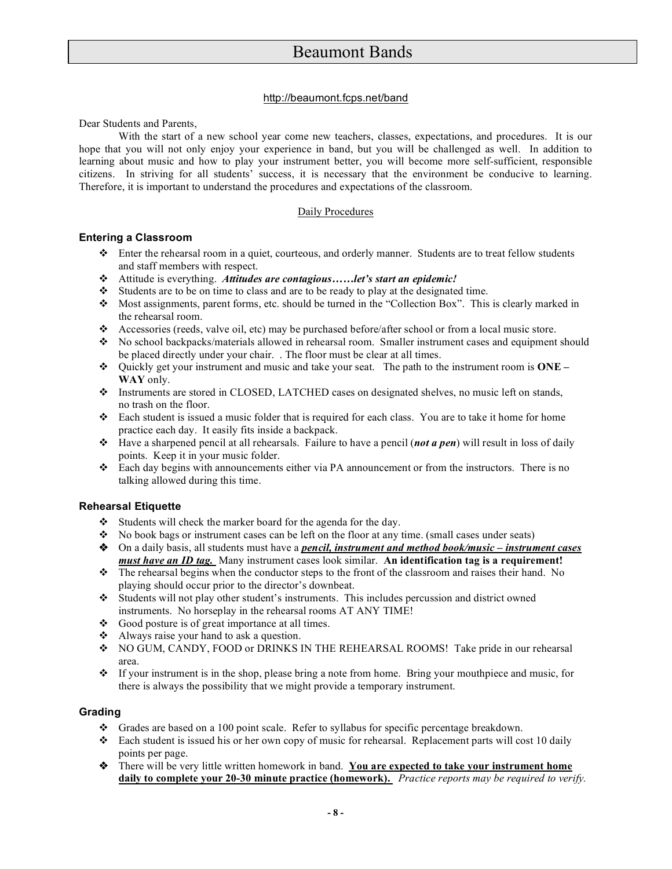#### http://beaumont.fcps.net/band

Dear Students and Parents,

With the start of a new school year come new teachers, classes, expectations, and procedures. It is our hope that you will not only enjoy your experience in band, but you will be challenged as well. In addition to learning about music and how to play your instrument better, you will become more self-sufficient, responsible citizens. In striving for all students' success, it is necessary that the environment be conducive to learning. Therefore, it is important to understand the procedures and expectations of the classroom.

#### Daily Procedures

### **Entering a Classroom**

- Enter the rehearsal room in a quiet, courteous, and orderly manner. Students are to treat fellow students and staff members with respect.
- Attitude is everything. *Attitudes are contagious……let's start an epidemic!*
- $\bullet$  Students are to be on time to class and are to be ready to play at the designated time.
- $\bullet$  Most assignments, parent forms, etc. should be turned in the "Collection Box". This is clearly marked in the rehearsal room.
- Accessories (reeds, valve oil, etc) may be purchased before/after school or from a local music store.
- No school backpacks/materials allowed in rehearsal room. Smaller instrument cases and equipment should be placed directly under your chair. . The floor must be clear at all times.
- Quickly get your instrument and music and take your seat. The path to the instrument room is **ONE – WAY** only.
- Instruments are stored in CLOSED, LATCHED cases on designated shelves, no music left on stands, no trash on the floor.
- Each student is issued a music folder that is required for each class. You are to take it home for home practice each day. It easily fits inside a backpack.
- Have a sharpened pencil at all rehearsals. Failure to have a pencil (*not a pen*) will result in loss of daily points. Keep it in your music folder.
- Each day begins with announcements either via PA announcement or from the instructors. There is no talking allowed during this time.

#### **Rehearsal Etiquette**

- Students will check the marker board for the agenda for the day.
- $\bullet$  No book bags or instrument cases can be left on the floor at any time. (small cases under seats)
- On a daily basis, all students must have a *pencil, instrument and method book/music – instrument cases must have an ID tag.* Many instrument cases look similar. **An identification tag is a requirement!**
- The rehearsal begins when the conductor steps to the front of the classroom and raises their hand. No playing should occur prior to the director's downbeat.
- Students will not play other student's instruments. This includes percussion and district owned instruments. No horseplay in the rehearsal rooms AT ANY TIME!
- Good posture is of great importance at all times.
- Always raise your hand to ask a question.
- NO GUM, CANDY, FOOD or DRINKS IN THE REHEARSAL ROOMS! Take pride in our rehearsal area.
- If your instrument is in the shop, please bring a note from home. Bring your mouthpiece and music, for there is always the possibility that we might provide a temporary instrument.

## **Grading**

- Grades are based on a 100 point scale. Refer to syllabus for specific percentage breakdown.
- Each student is issued his or her own copy of music for rehearsal. Replacement parts will cost 10 daily points per page.
- There will be very little written homework in band. **You are expected to take your instrument home daily to complete your 20-30 minute practice (homework).** *Practice reports may be required to verify.*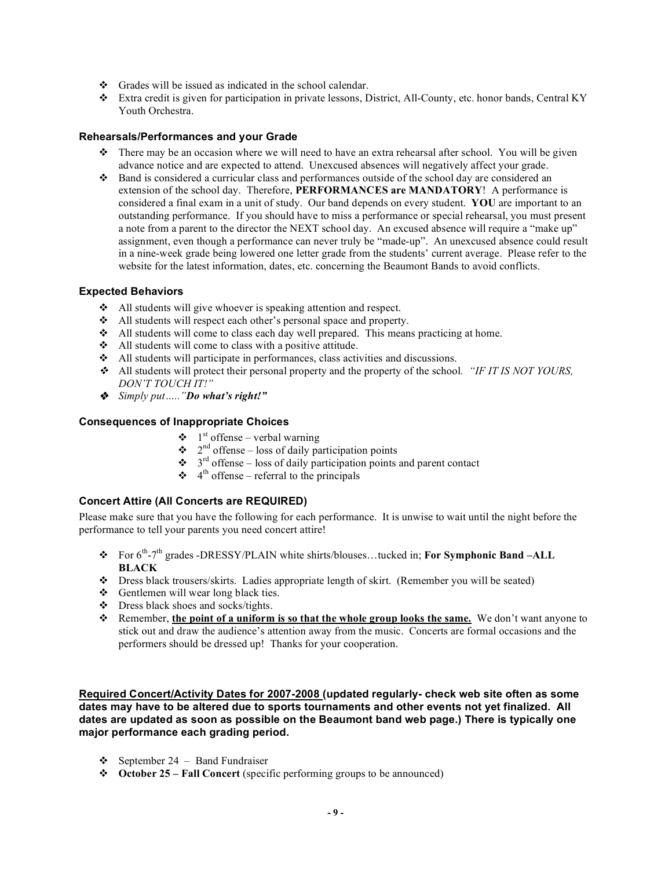- $\div$  Grades will be issued as indicated in the school calendar.
- Extra credit is given for participation in private lessons, District, All-County, etc. honor bands, Central KY Youth Orchestra.

#### **Rehearsals/Performances and your Grade**

- $\bullet$  There may be an occasion where we will need to have an extra rehearsal after school. You will be given advance notice and are expected to attend. Unexcused absences will negatively affect your grade.
- Band is considered a curricular class and performances outside of the school day are considered an extension of the school day. Therefore, **PERFORMANCES are MANDATORY**! A performance is considered a final exam in a unit of study. Our band depends on every student. **YOU** are important to an outstanding performance. If you should have to miss a performance or special rehearsal, you must present a note from a parent to the director the NEXT school day. An excused absence will require a "make up" assignment, even though a performance can never truly be "made-up". An unexcused absence could result in a nine-week grade being lowered one letter grade from the students' current average. Please refer to the website for the latest information, dates, etc. concerning the Beaumont Bands to avoid conflicts.

#### **Expected Behaviors**

- All students will give whoever is speaking attention and respect.
- All students will respect each other's personal space and property.
- $\triangleleft$  All students will come to class each day well prepared. This means practicing at home.
- All students will come to class with a positive attitude.
- All students will participate in performances, class activities and discussions.
- All students will protect their personal property and the property of the school*. "IF IT IS NOT YOURS, DON'T TOUCH IT!"*
- *Simply put….."Do what's right!"*

### **Consequences of Inappropriate Choices**

- $\bullet$  1<sup>st</sup> offense verbal warning
- $\bullet$  2<sup>nd</sup> offense loss of daily participation points
- $\bullet$  3<sup>rd</sup> offense loss of daily participation points and parent contact
	- $\div$  4<sup>th</sup> offense referral to the principals

## **Concert Attire (All Concerts are REQUIRED)**

Please make sure that you have the following for each performance. It is unwise to wait until the night before the performance to tell your parents you need concert attire!

- For 6th -7th grades -DRESSY/PLAIN white shirts/blouses…tucked in; **For Symphonic Band –ALL BLACK**
- Dress black trousers/skirts. Ladies appropriate length of skirt. (Remember you will be seated)
- Gentlemen will wear long black ties.
- $\div$  Dress black shoes and socks/tights.
- Remember, **the point of a uniform is so that the whole group looks the same.** We don't want anyone to stick out and draw the audience's attention away from the music. Concerts are formal occasions and the performers should be dressed up! Thanks for your cooperation.

**Required Concert/Activity Dates for 2007-2008 (updated regularly- check web site often as some dates may have to be altered due to sports tournaments and other events not yet finalized. All dates are updated as soon as possible on the Beaumont band web page.) There is typically one major performance each grading period.**

- $\div$  September 24 Band Fundraiser
- **October 25 – Fall Concert** (specific performing groups to be announced)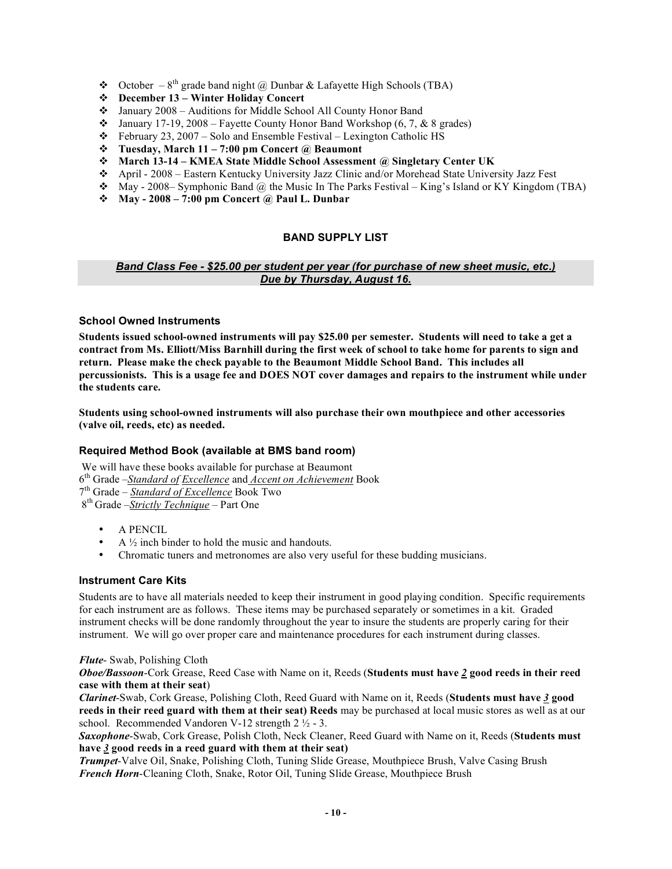- ◆ October  $8<sup>th</sup>$  grade band night @ Dunbar & Lafayette High Schools (TBA)
- **December 13 – Winter Holiday Concert**
- January 2008 Auditions for Middle School All County Honor Band
- $\cdot \cdot$  January 17-19, 2008 Fayette County Honor Band Workshop (6, 7, & 8 grades)
- February 23, 2007 Solo and Ensemble Festival Lexington Catholic HS
- **Tuesday, March 11 – 7:00 pm Concert @ Beaumont**
- **March 13-14 – KMEA State Middle School Assessment @ Singletary Center UK**
- April 2008 Eastern Kentucky University Jazz Clinic and/or Morehead State University Jazz Fest
- $\bullet$  May 2008– Symphonic Band @ the Music In The Parks Festival King's Island or KY Kingdom (TBA)
- **May - 2008 – 7:00 pm Concert @ Paul L. Dunbar**

### **BAND SUPPLY LIST**

#### *Band Class Fee - \$25.00 per student per year (for purchase of new sheet music, etc.) Due by Thursday, August 16.*

#### **School Owned Instruments**

**Students issued school-owned instruments will pay \$25.00 per semester. Students will need to take a get a** contract from Ms. Elliott/Miss Barnhill during the first week of school to take home for parents to sign and **return. Please make the check payable to the Beaumont Middle School Band. This includes all** percussionists. This is a usage fee and DOES NOT cover damages and repairs to the instrument while under **the students care.**

**Students using school-owned instruments will also purchase their own mouthpiece and other accessories (valve oil, reeds, etc) as needed.**

#### **Required Method Book (available at BMS band room)**

We will have these books available for purchase at Beaumont th Grade –*Standard of Excellence* and *Accent on Achievement* Book th Grade – *Standard of Excellence* Book Two th Grade –*Strictly Technique* – Part One

- A PENCIL
- $A \frac{1}{2}$  inch binder to hold the music and handouts.
- Chromatic tuners and metronomes are also very useful for these budding musicians.

#### **Instrument Care Kits**

Students are to have all materials needed to keep their instrument in good playing condition. Specific requirements for each instrument are as follows. These items may be purchased separately or sometimes in a kit. Graded instrument checks will be done randomly throughout the year to insure the students are properly caring for their instrument. We will go over proper care and maintenance procedures for each instrument during classes.

#### *Flute*- Swab, Polishing Cloth

*Oboe/Bassoon*-Cork Grease, Reed Case with Name on it, Reeds (**Students must have** *2* **good reeds in their reed case with them at their seat**)

*Clarinet*-Swab, Cork Grease, Polishing Cloth, Reed Guard with Name on it, Reeds (**Students must have** *3* **good reeds in their reed guard with them at their seat) Reeds** may be purchased at local music stores as well as at our school. Recommended Vandoren V-12 strength 2 ½ - 3.

*Saxophone*-Swab, Cork Grease, Polish Cloth, Neck Cleaner, Reed Guard with Name on it, Reeds (**Students must have** *3* **good reeds in a reed guard with them at their seat)**

*Trumpet*-Valve Oil, Snake, Polishing Cloth, Tuning Slide Grease, Mouthpiece Brush, Valve Casing Brush *French Horn*-Cleaning Cloth, Snake, Rotor Oil, Tuning Slide Grease, Mouthpiece Brush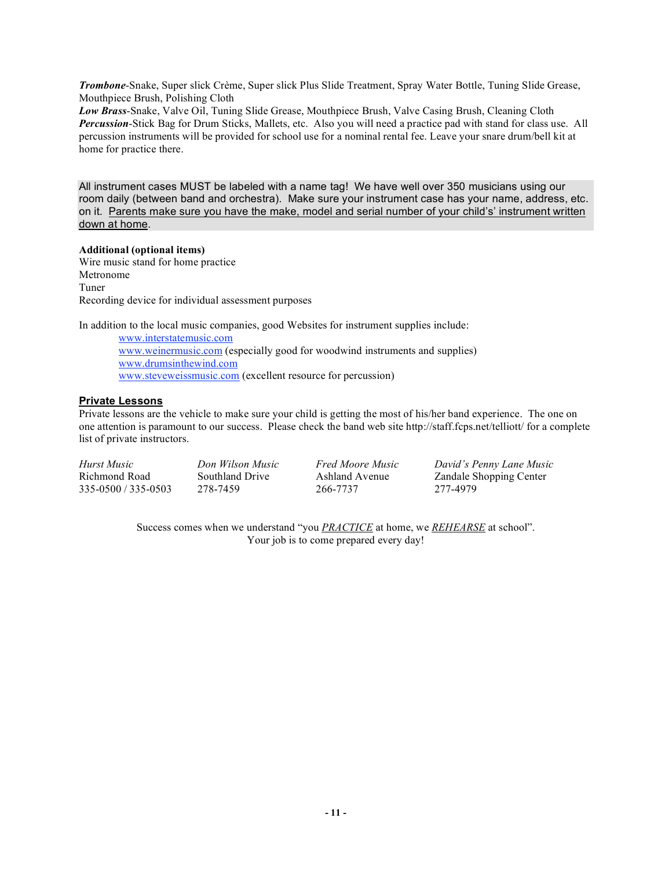*Trombone*-Snake, Super slick Crème, Super slick Plus Slide Treatment, Spray Water Bottle, Tuning Slide Grease, Mouthpiece Brush, Polishing Cloth

*Low Brass*-Snake, Valve Oil, Tuning Slide Grease, Mouthpiece Brush, Valve Casing Brush, Cleaning Cloth *Percussion*-Stick Bag for Drum Sticks, Mallets, etc. Also you will need a practice pad with stand for class use. All percussion instruments will be provided for school use for a nominal rental fee. Leave your snare drum/bell kit at home for practice there.

All instrument cases MUST be labeled with a name tag! We have well over 350 musicians using our room daily (between band and orchestra). Make sure your instrument case has your name, address, etc. on it. Parents make sure you have the make, model and serial number of your child's' instrument written down at home.

#### **Additional (optional items)**

Wire music stand for home practice Metronome Tuner Recording device for individual assessment purposes

In addition to the local music companies, good Websites for instrument supplies include:

www.interstatemusic.com www.weinermusic.com (especially good for woodwind instruments and supplies) www.drumsinthewind.com www.steveweissmusic.com (excellent resource for percussion)

### **Private Lessons**

Private lessons are the vehicle to make sure your child is getting the most of his/her band experience. The one on one attention is paramount to our success. Please check the band web site http://staff.fcps.net/telliott/ for a complete list of private instructors.

| Hurst Music         | Don Wilson Music | <i>Fred Moore Music</i> | David's Penny Lane Music       |
|---------------------|------------------|-------------------------|--------------------------------|
| Richmond Road       | Southland Drive  | Ashland Avenue          | <b>Zandale Shopping Center</b> |
| 335-0500 / 335-0503 | 278-7459         | 266-7737                | 277-4979                       |

Success comes when we understand "you *PRACTICE* at home, we *REHEARSE* at school". Your job is to come prepared every day!